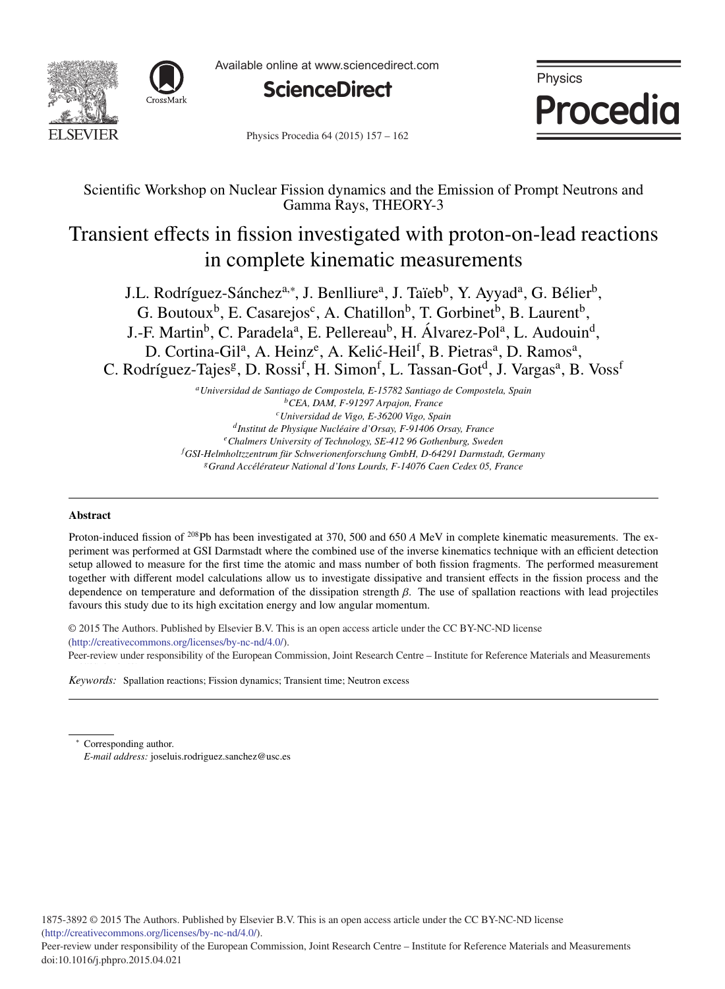



Available online at www.sciencedirect.com



Physics **Procedia** 

Physics Procedia 64 (2015) 157 - 162

# Scientific Workshop on Nuclear Fission dynamics and the Emission of Prompt Neutrons and Gamma Rays, THEORY-3

# Transient effects in fission investigated with proton-on-lead reactions in complete kinematic measurements

J.L. Rodríguez-Sánchez<sup>a,∗</sup>, J. Benlliure<sup>a</sup>, J. Taïeb<sup>b</sup>, Y. Ayyad<sup>a</sup>, G. Bélier<sup>b</sup>, G. Boutoux<sup>b</sup>, E. Casarejos<sup>c</sup>, A. Chatillon<sup>b</sup>, T. Gorbinet<sup>b</sup>, B. Laurent<sup>b</sup>, J.-F. Martin<sup>b</sup>, C. Paradela<sup>a</sup>, E. Pellereau<sup>b</sup>, H. Álvarez-Pol<sup>a</sup>, L. Audouin<sup>d</sup>, D. Cortina-Gil<sup>a</sup>, A. Heinz<sup>e</sup>, A. Kelić-Heil<sup>f</sup>, B. Pietras<sup>a</sup>, D. Ramos<sup>a</sup>, C. Rodríguez-Tajes<sup>g</sup>, D. Rossi<sup>f</sup>, H. Simon<sup>f</sup>, L. Tassan-Got<sup>d</sup>, J. Vargas<sup>a</sup>, B. Voss<sup>i</sup>

> *aUniversidad de Santiago de Compostela, E-15782 Santiago de Compostela, Spain bCEA, DAM, F-91297 Arpajon, France cUniversidad de Vigo, E-36200 Vigo, Spain dInstitut de Physique Nucl´eaire d'Orsay, F-91406 Orsay, France eChalmers University of Technology, SE-412 96 Gothenburg, Sweden f GSI-Helmholtzzentrum f ¨ur Schwerionenforschung GmbH, D-64291 Darmstadt, Germany gGrand Acc´el´erateur National d'Ions Lourds, F-14076 Caen Cedex 05, France*

# Abstract

Proton-induced fission of 208Pb has been investigated at 370, 500 and 650 *A* MeV in complete kinematic measurements. The experiment was performed at GSI Darmstadt where the combined use of the inverse kinematics technique with an efficient detection setup allowed to measure for the first time the atomic and mass number of both fission fragments. The performed measurement together with different model calculations allow us to investigate dissipative and transient effects in the fission process and the dependence on temperature and deformation of the dissipation strength  $\beta$ . The use of spallation reactions with lead projectiles favours this study due to its high excitation energy and low angular momentum.

 $\degree$  2015 The Authors. Published by Elsevier B.V. This is an open access article under the CC BY-NC-ND license mup://creativecommons.org/neenses/oy-ne-nd/4.0/). Peer-review under responsibility of the European Commission, Joint Research Centre – Institute for Reference Materials and Measurements (http://creativecommons.org/licenses/by-nc-nd/4.0/).

*Keywords:* Spallation reactions; Fission dynamics; Transient time; Neutron excess

Corresponding author. *E-mail address:* joseluis.rodriguez.sanchez@usc.es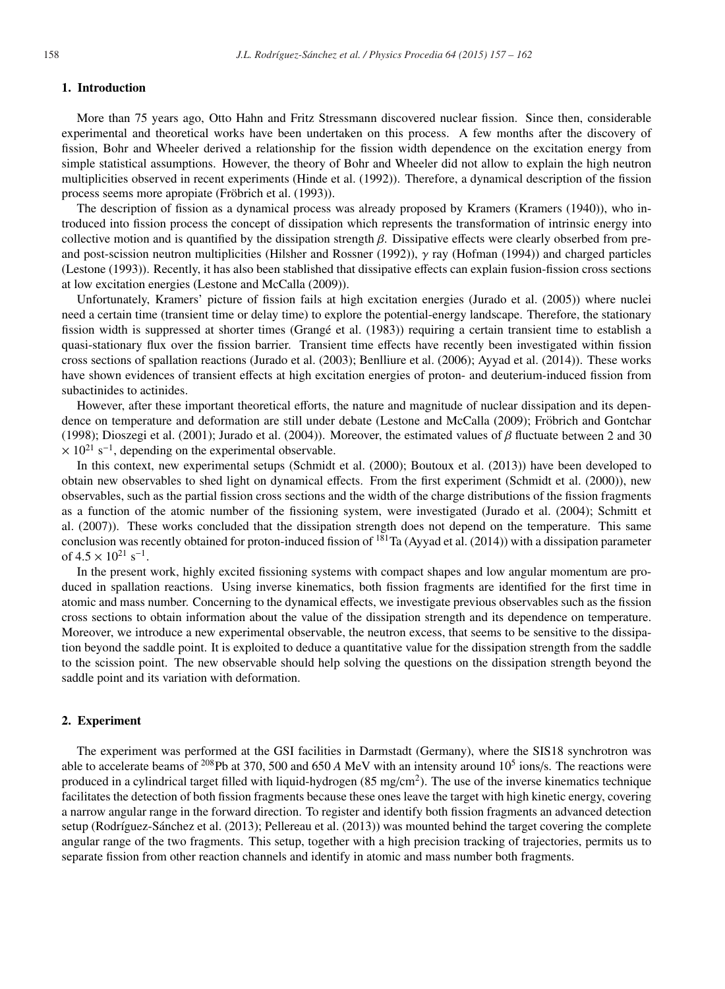# 1. Introduction

More than 75 years ago, Otto Hahn and Fritz Stressmann discovered nuclear fission. Since then, considerable experimental and theoretical works have been undertaken on this process. A few months after the discovery of fission, Bohr and Wheeler derived a relationship for the fission width dependence on the excitation energy from simple statistical assumptions. However, the theory of Bohr and Wheeler did not allow to explain the high neutron multiplicities observed in recent experiments (Hinde et al. (1992)). Therefore, a dynamical description of the fission process seems more apropiate (Fröbrich et al. (1993)).

The description of fission as a dynamical process was already proposed by Kramers (Kramers (1940)), who introduced into fission process the concept of dissipation which represents the transformation of intrinsic energy into collective motion and is quantified by the dissipation strength  $\beta$ . Dissipative effects were clearly obserbed from preand post-scission neutron multiplicities (Hilsher and Rossner (1992)),  $\gamma$  ray (Hofman (1994)) and charged particles (Lestone (1993)). Recently, it has also been stablished that dissipative effects can explain fusion-fission cross sections at low excitation energies (Lestone and McCalla (2009)).

Unfortunately, Kramers' picture of fission fails at high excitation energies (Jurado et al. (2005)) where nuclei need a certain time (transient time or delay time) to explore the potential-energy landscape. Therefore, the stationary fission width is suppressed at shorter times (Grange et al. (1983)) requiring a certain transient time to establish a ´ quasi-stationary flux over the fission barrier. Transient time effects have recently been investigated within fission cross sections of spallation reactions (Jurado et al. (2003); Benlliure et al. (2006); Ayyad et al. (2014)). These works have shown evidences of transient effects at high excitation energies of proton- and deuterium-induced fission from subactinides to actinides.

However, after these important theoretical efforts, the nature and magnitude of nuclear dissipation and its dependence on temperature and deformation are still under debate (Lestone and McCalla (2009); Fröbrich and Gontchar (1998); Dioszegi et al. (2001); Jurado et al. (2004)). Moreover, the estimated values of  $\beta$  fluctuate between 2 and 30  $\times$  10<sup>21</sup> s<sup>-1</sup>, depending on the experimental observable.

In this context, new experimental setups (Schmidt et al. (2000); Boutoux et al. (2013)) have been developed to obtain new observables to shed light on dynamical effects. From the first experiment (Schmidt et al. (2000)), new observables, such as the partial fission cross sections and the width of the charge distributions of the fission fragments as a function of the atomic number of the fissioning system, were investigated (Jurado et al. (2004); Schmitt et al. (2007)). These works concluded that the dissipation strength does not depend on the temperature. This same conclusion was recently obtained for proton-induced fission of  $181$ Ta (Ayyad et al. (2014)) with a dissipation parameter of  $4.5 \times 10^{21}$  s<sup>-1</sup>.

In the present work, highly excited fissioning systems with compact shapes and low angular momentum are produced in spallation reactions. Using inverse kinematics, both fission fragments are identified for the first time in atomic and mass number. Concerning to the dynamical effects, we investigate previous observables such as the fission cross sections to obtain information about the value of the dissipation strength and its dependence on temperature. Moreover, we introduce a new experimental observable, the neutron excess, that seems to be sensitive to the dissipation beyond the saddle point. It is exploited to deduce a quantitative value for the dissipation strength from the saddle to the scission point. The new observable should help solving the questions on the dissipation strength beyond the saddle point and its variation with deformation.

# 2. Experiment

The experiment was performed at the GSI facilities in Darmstadt (Germany), where the SIS18 synchrotron was able to accelerate beams of <sup>208</sup>Pb at 370, 500 and 650 *A* MeV with an intensity around  $10^5$  ions/s. The reactions were produced in a cylindrical target filled with liquid-hydrogen  $(85 \text{ mg/cm}^2)$ . The use of the inverse kinematics technique facilitates the detection of both fission fragments because these ones leave the target with high kinetic energy, covering a narrow angular range in the forward direction. To register and identify both fission fragments an advanced detection setup (Rodríguez-Sánchez et al. (2013); Pellereau et al. (2013)) was mounted behind the target covering the complete angular range of the two fragments. This setup, together with a high precision tracking of trajectories, permits us to separate fission from other reaction channels and identify in atomic and mass number both fragments.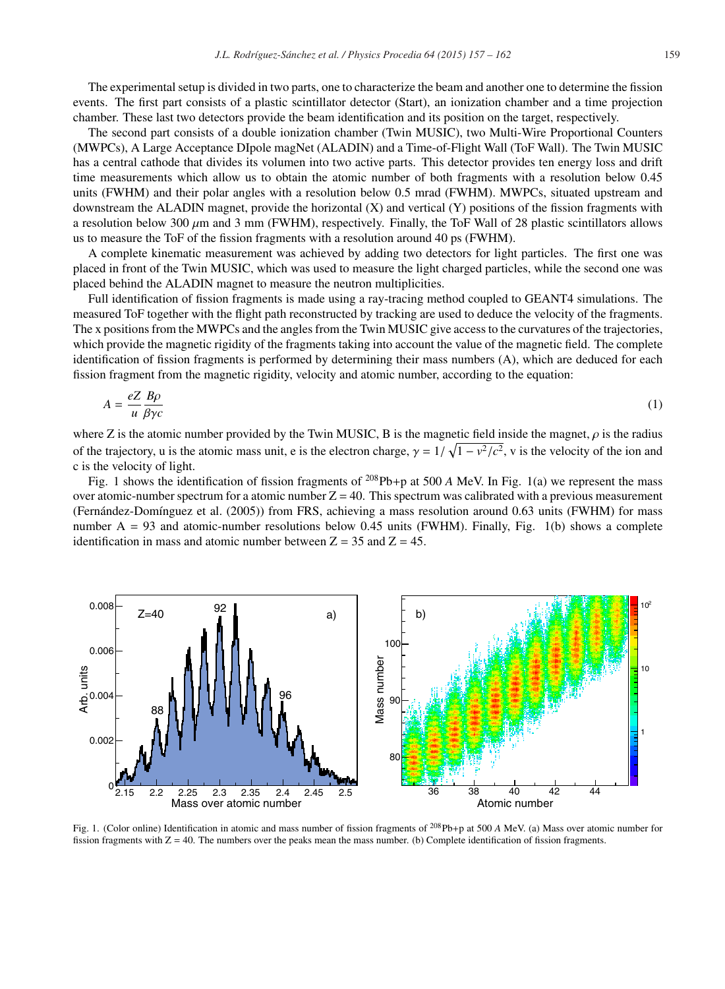The experimental setup is divided in two parts, one to characterize the beam and another one to determine the fission events. The first part consists of a plastic scintillator detector (Start), an ionization chamber and a time projection chamber. These last two detectors provide the beam identification and its position on the target, respectively.

The second part consists of a double ionization chamber (Twin MUSIC), two Multi-Wire Proportional Counters (MWPCs), A Large Acceptance DIpole magNet (ALADIN) and a Time-of-Flight Wall (ToF Wall). The Twin MUSIC has a central cathode that divides its volumen into two active parts. This detector provides ten energy loss and drift time measurements which allow us to obtain the atomic number of both fragments with a resolution below 0.45 units (FWHM) and their polar angles with a resolution below 0.5 mrad (FWHM). MWPCs, situated upstream and downstream the ALADIN magnet, provide the horizontal (X) and vertical (Y) positions of the fission fragments with a resolution below 300  $\mu$ m and 3 mm (FWHM), respectively. Finally, the ToF Wall of 28 plastic scintillators allows us to measure the ToF of the fission fragments with a resolution around 40 ps (FWHM).

A complete kinematic measurement was achieved by adding two detectors for light particles. The first one was placed in front of the Twin MUSIC, which was used to measure the light charged particles, while the second one was placed behind the ALADIN magnet to measure the neutron multiplicities.

Full identification of fission fragments is made using a ray-tracing method coupled to GEANT4 simulations. The measured ToF together with the flight path reconstructed by tracking are used to deduce the velocity of the fragments. The x positions from the MWPCs and the angles from the Twin MUSIC give access to the curvatures of the trajectories, which provide the magnetic rigidity of the fragments taking into account the value of the magnetic field. The complete identification of fission fragments is performed by determining their mass numbers (A), which are deduced for each fission fragment from the magnetic rigidity, velocity and atomic number, according to the equation:

$$
A = \frac{eZ}{u} \frac{B\rho}{\beta \gamma c} \tag{1}
$$

where Z is the atomic number provided by the Twin MUSIC, B is the magnetic field inside the magnet,  $\rho$  is the radius of the trajectory, u is the atomic mass unit, e is the electron charge,  $\gamma = 1/\sqrt{1 - v^2/c^2}$ , v is the velocity of the ion and c is the velocity of light.

Fig. 1 shows the identification of fission fragments of <sup>208</sup>Pb+p at 500 *A* MeV. In Fig. 1(a) we represent the mass over atomic-number spectrum for a atomic number  $Z = 40$ . This spectrum was calibrated with a previous measurement (Fernández-Domínguez et al. (2005)) from FRS, achieving a mass resolution around 0.63 units (FWHM) for mass number  $A = 93$  and atomic-number resolutions below 0.45 units (FWHM). Finally, Fig. 1(b) shows a complete identification in mass and atomic number between  $Z = 35$  and  $Z = 45$ .



Fig. 1. (Color online) Identification in atomic and mass number of fission fragments of 208Pb+p at 500 *A* MeV. (a) Mass over atomic number for fission fragments with  $Z = 40$ . The numbers over the peaks mean the mass number. (b) Complete identification of fission fragments.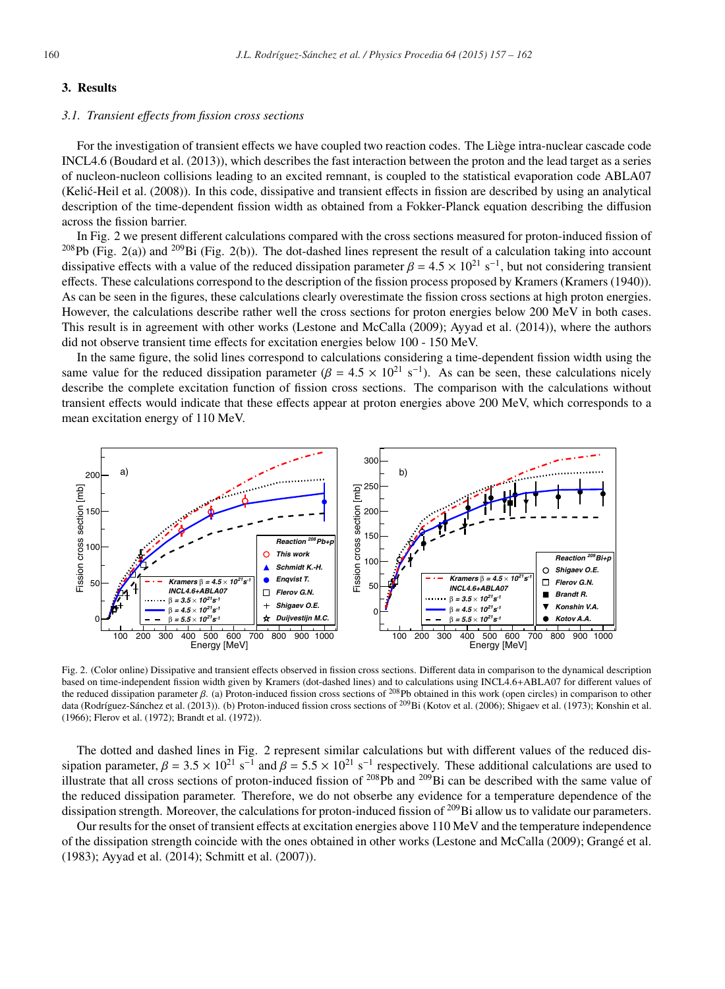### 3. Results

#### *3.1. Transient e*ff*ects from fission cross sections*

For the investigation of transient effects we have coupled two reaction codes. The Liège intra-nuclear cascade code INCL4.6 (Boudard et al. (2013)), which describes the fast interaction between the proton and the lead target as a series of nucleon-nucleon collisions leading to an excited remnant, is coupled to the statistical evaporation code ABLA07  $(Kelic-Heil et al. (2008))$ . In this code, dissipative and transient effects in fission are described by using an analytical description of the time-dependent fission width as obtained from a Fokker-Planck equation describing the diffusion across the fission barrier.

In Fig. 2 we present different calculations compared with the cross sections measured for proton-induced fission of <sup>208</sup>Pb (Fig. 2(a)) and <sup>209</sup>Bi (Fig. 2(b)). The dot-dashed lines represent the result of a calculation taking into account dissipative effects with a value of the reduced dissipation parameter  $\beta = 4.5 \times 10^{21} \text{ s}^{-1}$ , but not considering transient effects. These calculations correspond to the description of the fission process proposed by Kramers (Kramers (1940)). As can be seen in the figures, these calculations clearly overestimate the fission cross sections at high proton energies. However, the calculations describe rather well the cross sections for proton energies below 200 MeV in both cases. This result is in agreement with other works (Lestone and McCalla (2009); Ayyad et al. (2014)), where the authors did not observe transient time effects for excitation energies below 100 - 150 MeV.

In the same figure, the solid lines correspond to calculations considering a time-dependent fission width using the same value for the reduced dissipation parameter ( $\beta = 4.5 \times 10^{21}$  s<sup>-1</sup>). As can be seen, these calculations nicely describe the complete excitation function of fission cross sections. The comparison with the calculations without transient effects would indicate that these effects appear at proton energies above 200 MeV, which corresponds to a mean excitation energy of 110 MeV.



Fig. 2. (Color online) Dissipative and transient effects observed in fission cross sections. Different data in comparison to the dynamical description based on time-independent fission width given by Kramers (dot-dashed lines) and to calculations using INCL4.6+ABLA07 for different values of the reduced dissipation parameter β. (a) Proton-induced fission cross sections of <sup>208</sup>Pb obtained in this work (open circles) in comparison to other data (Rodríguez-Sánchez et al. (2013)). (b) Proton-induced fission cross sections of <sup>209</sup>Bi (Kotov et al. (2006); Shigaev et al. (1973); Konshin et al. (1966); Flerov et al. (1972); Brandt et al. (1972)).

The dotted and dashed lines in Fig. 2 represent similar calculations but with different values of the reduced dissipation parameter,  $\beta = 3.5 \times 10^{21} \text{ s}^{-1}$  and  $\beta = 5.5 \times 10^{21} \text{ s}^{-1}$  respectively. These additional calculations are used to illustrate that all cross sections of proton-induced fission of  $^{208}Pb$  and  $^{209}Bi$  can be described with the same value of the reduced dissipation parameter. Therefore, we do not obserbe any evidence for a temperature dependence of the dissipation strength. Moreover, the calculations for proton-induced fission of <sup>209</sup>Bi allow us to validate our parameters.

Our results for the onset of transient effects at excitation energies above 110 MeV and the temperature independence of the dissipation strength coincide with the ones obtained in other works (Lestone and McCalla (2009); Grange et al. ´ (1983); Ayyad et al. (2014); Schmitt et al. (2007)).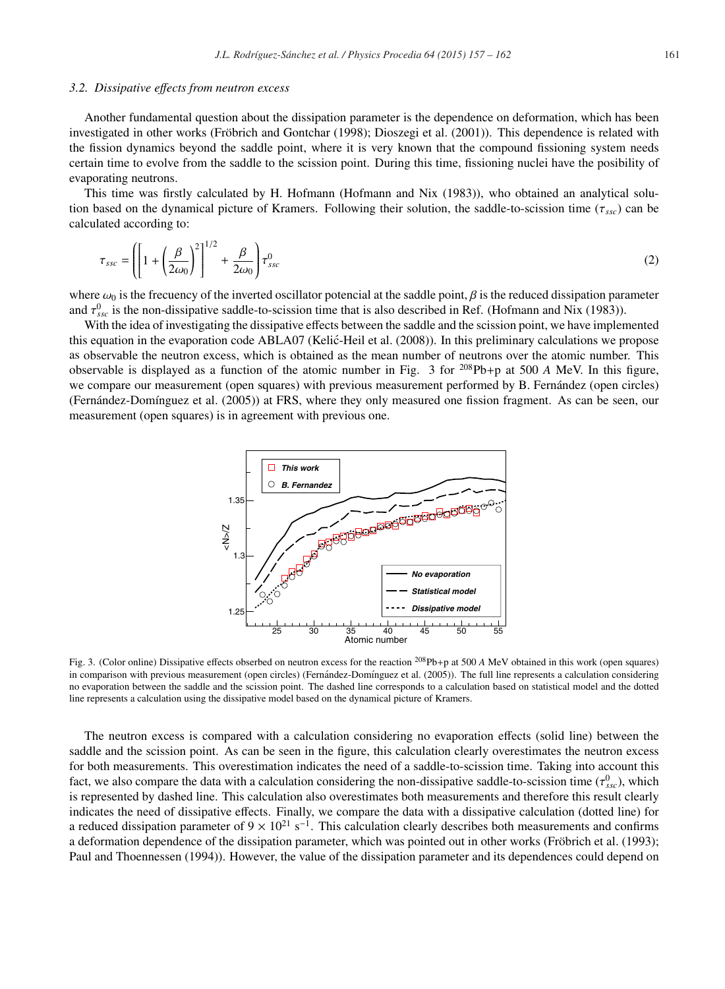#### *3.2. Dissipative e*ff*ects from neutron excess*

Another fundamental question about the dissipation parameter is the dependence on deformation, which has been investigated in other works (Fröbrich and Gontchar (1998); Dioszegi et al. (2001)). This dependence is related with the fission dynamics beyond the saddle point, where it is very known that the compound fissioning system needs certain time to evolve from the saddle to the scission point. During this time, fissioning nuclei have the posibility of evaporating neutrons.

This time was firstly calculated by H. Hofmann (Hofmann and Nix (1983)), who obtained an analytical solution based on the dynamical picture of Kramers. Following their solution, the saddle-to-scission time ( $\tau_{ssc}$ ) can be calculated according to:

$$
\tau_{ssc} = \left( \left[ 1 + \left( \frac{\beta}{2\omega_0} \right)^2 \right]^{1/2} + \frac{\beta}{2\omega_0} \right) \tau_{ssc}^0 \tag{2}
$$

where  $\omega_0$  is the frecuency of the inverted oscillator potencial at the saddle point,  $\beta$  is the reduced dissipation parameter and  $\tau_{\rm \scriptscriptstyle Ssc}^0$  is the non-dissipative saddle-to-scission time that is also described in Ref. (Hofmann and Nix (1983)).

With the idea of investigating the dissipative effects between the saddle and the scission point, we have implemented this equation in the evaporation code ABLA07 (Kelić-Heil et al. (2008)). In this preliminary calculations we propose as observable the neutron excess, which is obtained as the mean number of neutrons over the atomic number. This observable is displayed as a function of the atomic number in Fig. 3 for 208Pb+p at 500 *A* MeV. In this figure, we compare our measurement (open squares) with previous measurement performed by B. Fernández (open circles) (Fernández-Domínguez et al. (2005)) at FRS, where they only measured one fission fragment. As can be seen, our measurement (open squares) is in agreement with previous one.



Fig. 3. (Color online) Dissipative effects obserbed on neutron excess for the reaction <sup>208</sup>Pb+p at 500 *A* MeV obtained in this work (open squares) in comparison with previous measurement (open circles) (Fernández-Domínguez et al. (2005)). The full line represents a calculation considering no evaporation between the saddle and the scission point. The dashed line corresponds to a calculation based on statistical model and the dotted line represents a calculation using the dissipative model based on the dynamical picture of Kramers.

The neutron excess is compared with a calculation considering no evaporation effects (solid line) between the saddle and the scission point. As can be seen in the figure, this calculation clearly overestimates the neutron excess for both measurements. This overestimation indicates the need of a saddle-to-scission time. Taking into account this fact, we also compare the data with a calculation considering the non-dissipative saddle-to-scission time  $(\tau_{ssc}^0)$ , which is represented by dashed line. This calculation also overestimates both measurements and therefore this result clearly indicates the need of dissipative effects. Finally, we compare the data with a dissipative calculation (dotted line) for a reduced dissipation parameter of  $9 \times 10^{21}$  s<sup>-1</sup>. This calculation clearly describes both measurements and confirms a deformation dependence of the dissipation parameter, which was pointed out in other works (Fröbrich et al. (1993); Paul and Thoennessen (1994)). However, the value of the dissipation parameter and its dependences could depend on